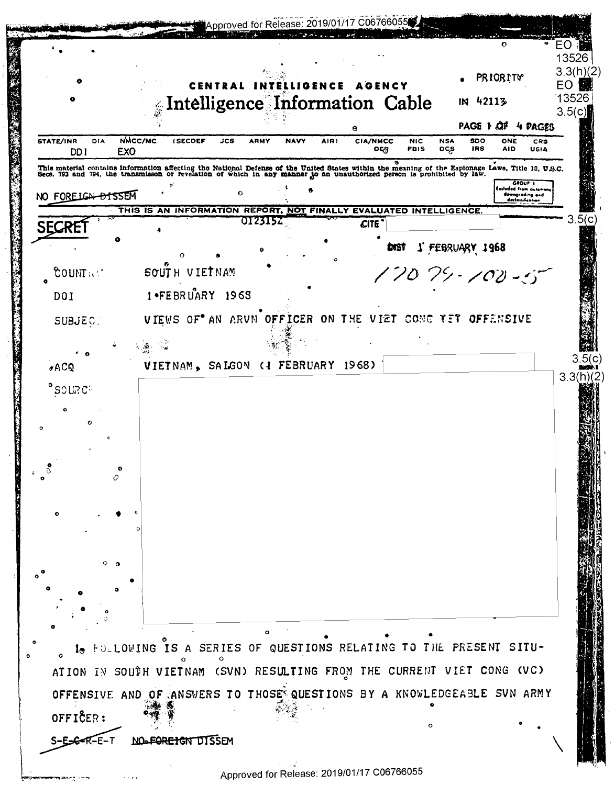|                                                                                                                                                                                                                                   |                                                                   |                                |             |             |                   |                 |                   |                 |             |                      |                                     | 13526<br>3.3(h)(2) |
|-----------------------------------------------------------------------------------------------------------------------------------------------------------------------------------------------------------------------------------|-------------------------------------------------------------------|--------------------------------|-------------|-------------|-------------------|-----------------|-------------------|-----------------|-------------|----------------------|-------------------------------------|--------------------|
|                                                                                                                                                                                                                                   |                                                                   | CENTRAL                        |             | LIG         |                   |                 |                   |                 |             | <b>PRIORITY</b>      |                                     | EO                 |
|                                                                                                                                                                                                                                   |                                                                   | Intelligence Information Cable |             |             |                   |                 |                   |                 | 42113<br>IN |                      |                                     | 13526<br>3.5(c)    |
| STATE/INR<br>DIA                                                                                                                                                                                                                  | NMCC/MC<br><b>(SECDEF</b>                                         | JCS                            | <b>ARMY</b> | <b>NAVY</b> | AIR)              | <b>CIA/NMCC</b> | <b>NIC</b>        | <b>NSA</b>      | <b>SDO</b>  | ONE                  | PAGE 1 CIF 4 PAGES                  |                    |
| DD <sub>1</sub><br>EX <sub>0</sub>                                                                                                                                                                                                |                                                                   |                                |             |             |                   | OER             | <b>FBIS</b><br>ø  | DCS             | <b>JRS</b>  | <b>AID</b>           | CRS<br>USIA                         |                    |
| This material contains information affecting the National Defense of the United States within the meaning of the Espionage Laws, Title 18, U.S.C.<br>Secs. 793 and 794, the transmisson or revelation of which in any manner to a |                                                                   |                                |             |             |                   |                 |                   |                 |             |                      | GROUP T                             |                    |
| NO FORELGN-BISSEM                                                                                                                                                                                                                 |                                                                   | $\Omega$                       |             |             |                   |                 |                   |                 |             | Escluded from autome | dewngrading and<br>declessification |                    |
|                                                                                                                                                                                                                                   | THIS IS AN INFORMATION REPORT, NOT FINALLY EVALUATED INTELLIGENCE |                                | 0123152     |             |                   | <b>CITE</b>     |                   |                 |             |                      |                                     | 3                  |
| 5E(                                                                                                                                                                                                                               |                                                                   |                                |             |             |                   |                 | <b>DAST</b>       |                 |             |                      |                                     |                    |
|                                                                                                                                                                                                                                   |                                                                   |                                |             |             |                   |                 |                   | 1 FEBRUARY 1968 |             |                      |                                     |                    |
| COUNT : 1<br>ó                                                                                                                                                                                                                    | SOUTH VIETNAM                                                     |                                |             |             |                   |                 | $17079 - 100 - 5$ |                 |             |                      |                                     |                    |
| DOI                                                                                                                                                                                                                               | $1$ <b>•FEBRUARY</b> 1963                                         |                                |             |             |                   |                 |                   |                 |             |                      |                                     |                    |
| <b>SUBJECT</b>                                                                                                                                                                                                                    | VIEWS OF AN ARVN OFFICER ON THE VIET CONG YET OFFENSIVE           |                                |             |             |                   |                 |                   |                 |             |                      |                                     |                    |
|                                                                                                                                                                                                                                   |                                                                   |                                |             |             |                   |                 |                   |                 |             |                      |                                     |                    |
| $\sigma$ ACQ                                                                                                                                                                                                                      | VIETNAM, SALGON                                                   |                                |             |             | (1 FEBRUARY 1968) |                 |                   |                 |             |                      |                                     |                    |
| <b>PSOURC</b>                                                                                                                                                                                                                     |                                                                   |                                |             |             |                   |                 |                   |                 |             |                      |                                     | 3.3(h)(2)          |
|                                                                                                                                                                                                                                   |                                                                   |                                |             |             |                   |                 |                   |                 |             |                      |                                     |                    |
|                                                                                                                                                                                                                                   |                                                                   |                                |             |             |                   |                 |                   |                 |             |                      |                                     |                    |
|                                                                                                                                                                                                                                   |                                                                   |                                |             |             |                   |                 |                   |                 |             |                      |                                     |                    |
|                                                                                                                                                                                                                                   |                                                                   |                                |             |             |                   |                 |                   |                 |             |                      |                                     |                    |
|                                                                                                                                                                                                                                   |                                                                   |                                |             |             |                   |                 |                   |                 |             |                      |                                     |                    |
|                                                                                                                                                                                                                                   |                                                                   |                                |             |             |                   |                 |                   |                 |             |                      |                                     |                    |
|                                                                                                                                                                                                                                   |                                                                   |                                |             |             |                   |                 |                   |                 |             |                      |                                     |                    |
|                                                                                                                                                                                                                                   |                                                                   |                                |             |             |                   |                 |                   |                 |             |                      |                                     |                    |
|                                                                                                                                                                                                                                   |                                                                   |                                |             |             |                   |                 |                   |                 |             |                      |                                     |                    |
|                                                                                                                                                                                                                                   |                                                                   |                                |             |             |                   |                 |                   |                 |             |                      |                                     |                    |
|                                                                                                                                                                                                                                   |                                                                   |                                |             |             |                   |                 |                   |                 |             |                      |                                     |                    |
|                                                                                                                                                                                                                                   |                                                                   |                                |             |             |                   |                 |                   |                 |             |                      |                                     |                    |
|                                                                                                                                                                                                                                   |                                                                   |                                |             |             |                   |                 |                   |                 |             |                      |                                     |                    |
| 1. FOLLOWING IS A SERIES OF QUESTIONS RELATING TO THE PRESENT SITU-                                                                                                                                                               |                                                                   |                                |             |             |                   |                 |                   |                 |             |                      |                                     |                    |
| ATION IN SOUTH VIETNAM (SVN) RESULTING FROM THE CURRENT VIET CONG (VC)                                                                                                                                                            |                                                                   |                                |             |             |                   |                 |                   |                 |             |                      |                                     |                    |
| OFFENSIVE AND OF ANSWERS TO THOSE QUESTIONS BY A KNOWLEDGEABLE SVN ARMY                                                                                                                                                           |                                                                   |                                |             |             |                   |                 |                   |                 |             |                      |                                     |                    |
| OFFICER:                                                                                                                                                                                                                          |                                                                   |                                |             |             |                   |                 |                   |                 |             |                      |                                     |                    |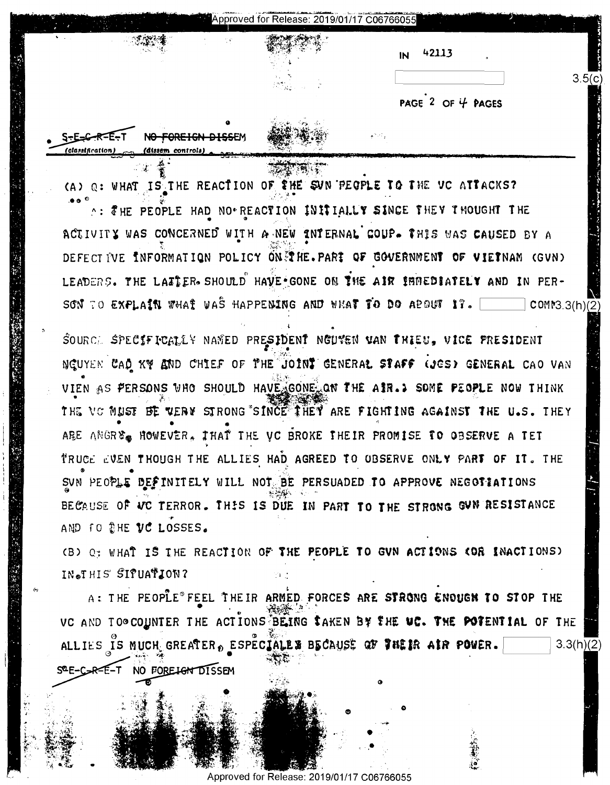| Approved for Release: 2019/01/17 C06766055 |  |  |
|--------------------------------------------|--|--|
|--------------------------------------------|--|--|

| IΝ | 42113 |
|----|-------|
|----|-------|

PAGE  $2$  OF  $4$  PAGES

 $3.5(c)$ 

-R=F-\* NO FOREIGN DISS

(A) O: WHAT IS THE REACTION OF THE SUN PEOPLE TO THE VC ATTACKS?

A: THE PEOPLE HAD NO REACTION INITIALLY SINCE THEY THOUGHT THE ACTIVITY WAS CONCERNED WITH A NEW INTERNAL COUP. THIS WAS CAUSED BY A DEFECT IVE INFORMATION POLICY ON THE. PART OF GOVERNMENT OF VIETNAM (GVN) LEADERS. THE LAITER SHOULD HAVE GONE ON THE AIR IMMEDIATELY AND IN PER-SON TO EXPLAIN WHAT WAS HAPPENING AND WHAT TO DO APOUT 17. COMM3.3(h)(2)

SOURCE SPECIFICALLY NAMED PRESIDENT NGUVEN VAN THIEU, VICE PRESIDENT NGUYEN CAD KY AND CHIEF OF THE JOINT GENERAL STAFF (JES) GENERAL CAO VAN VIEN AS PERSONS WHO SHOULD HAVE GONE ON THE AIR. > SOME PEOPLE NOW THINK THE VG MUST BE VERY STRONG SINCE THEY ARE FIGHTING AGAINST THE U.S. THEY ARE ANGRE. HOWEVER. THAT THE VC BROKE THEIR PROMISE TO OBSERVE A TET TRUCE EVEN THOUGH THE ALLIES HAD AGREED TO OBSERVE ONLY PART OF IT. THE SUN PEOPLE DEFINITELY WILL NOT BE PERSUADED TO APPROVE NEGOTIATIONS BECAUSE OF VC TERROR. THIS IS DUE IN PART TO THE STRONG GUN RESISTANCE AND TO THE VC LOSSES.

(B) Q: WHAT IS THE REACTION OF THE PEOPLE TO GVN ACTIONS COR INACTIONS) IN.THIS SIPUATION?

A: THE PEOPLE® FEEL THEIR ARMED FORCES ARE STRONG ENOUGH TO STOP THE VC AND TO® COUNTER THE ACTIONS BEING SAKEN BY THE UC. THE POTENTIAL OF THE ALLIES IS MUCH GREATER, ESPECIALES BECAUSE OF THEIR AIR POWER.  $3.3(h)(2)$ SEE-COR-E-T NO FORE<del>IGN</del> DISSEM

for Release: 2019/01/17 C06766055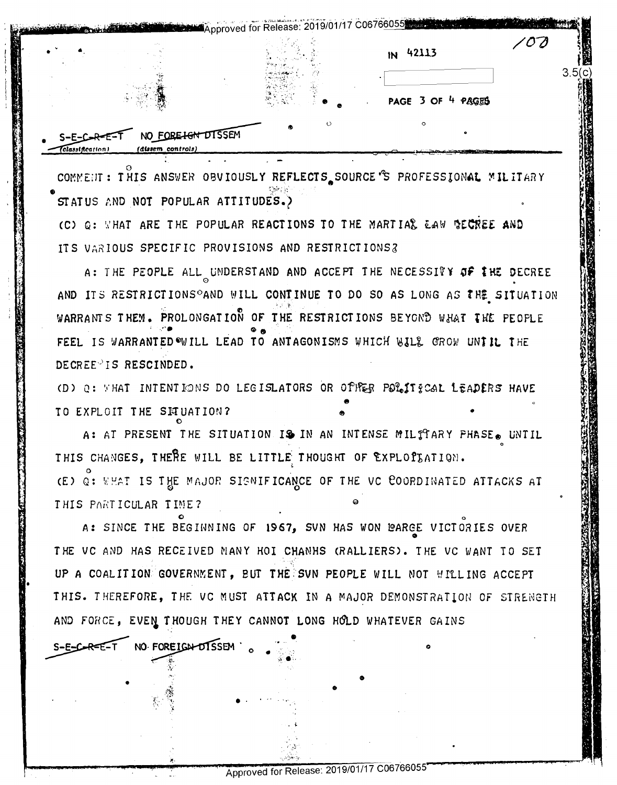|  | $1N$ 42113                   |      |
|--|------------------------------|------|
|  |                              | 3.5( |
|  | PAGE 3 OF 4 PAGES<br>$\circ$ |      |

COMMENT: THIS ANSWER OBVIOUSLY REFLECTS SOURCE'S PROFESSIONAL MILITARY STATUS AND NOT POPULAR ATTITUDES.)

(C) Q: WHAT ARE THE POPULAR REACTIONS TO THE MARTIAL EAW SECREE AND ITS VARIOUS SPECIFIC PROVISIONS AND RESTRICTIONS?

A: THE PEOPLE ALL UNDERSTAND AND ACCEPT THE NECESSITY OF IHE DECREE AND ITS RESTRICTIONS<sup>O</sup>AND WILL CONTINUE TO DO SO AS LONG AS THE SITUATION WARRANTS THEM. PROLONGATION OF THE RESTRICTIONS BEYOND WHAT THE PEOPLE FEEL IS WARRANTED WILL LEAD TO ANTAGONISMS WHICH WILL GROW UNTIL THE DECREE<sup>O</sup>IS RESCINDED.

(D) Q: VHAT INTENTIONS DO LEGISLATORS OR OPPER POLITICAL LEADERS HAVE TO EXPLOIT THE SETUATION?

A: AT PRESENT THE SITUATION IS IN AN INTENSE MILTTARY PHASE. UNTIL THIS CHANGES, THERE WILL BE LITTLE THOUGHT OF EXPLOPLATION. (E) Q: WHAT IS THE MAJOR SIGNIFICANCE OF THE VC COORDINATED ATTACKS AT THIS PARTICULAR TIME?

A: SINCE THE BEGINNING OF 1967, SVN HAS WON WARGE VICTORIES OVER THE VC AND HAS RECEIVED MANY HOI CHANHS (RALLIERS). THE VC WANT TO SET UP A COALITION GOVERNMENT, BUT THE SVN PEOPLE WILL NOT WILLING ACCEPT THIS. THEREFORE, THE VC MUST ATTACK IN A MAJOR DEMONSTRATION OF STRENGTH AND FORCE, EVEN THOUGH THEY CANNOT LONG HOLD WHATEVER GAINS

NO FOREIGN-DISSEM